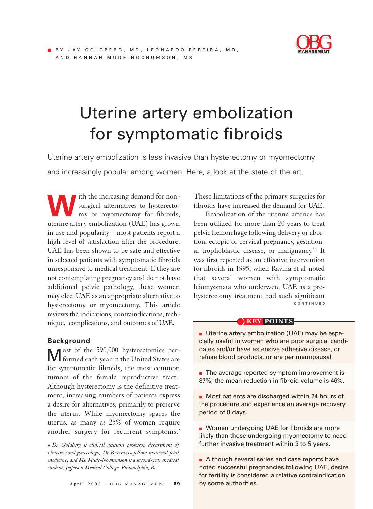

# Uterine artery embolization for symptomatic fibroids

Uterine artery embolization is less invasive than hysterectomy or myomectomy and increasingly popular among women. Here, a look at the state of the art.

with the increasing demand for non-<br>surgical alternatives to hysterecto-<br>my or myomectomy for fibroids, surgical alternatives to hysterectomy or myomectomy for fibroids, uterine artery embolization (UAE) has grown in use and popularity—most patients report a high level of satisfaction after the procedure. UAE has been shown to be safe and effective in selected patients with symptomatic fibroids unresponsive to medical treatment. If they are not contemplating pregnancy and do not have additional pelvic pathology, these women may elect UAE as an appropriate alternative to hysterectomy or myomectomy. This article reviews the indications, contraindications, technique, complications, and outcomes of UAE.

# **Background**

Most of the 590,000 hysterectomies performed each year in the United States are for symptomatic fibroids, the most common tumors of the female reproductive tract.<sup>1</sup> Although hysterectomy is the definitive treatment, increasing numbers of patients express a desire for alternatives, primarily to preserve the uterus. While myomectomy spares the uterus, as many as 25% of women require another surgery for recurrent symptoms.<sup>2</sup>

■ *Dr. Goldberg is clinical assistant professor, department of obstetrics and gynecology; Dr. Pereira is a fellow, maternal-fetal medicine; and Ms. Mude-Nochumson is a second-year medical student, Jefferson Medical College, Philadelphia, Pa.* 

These limitations of the primary surgeries for fibroids have increased the demand for UAE.

Embolization of the uterine arteries has been utilized for more than 20 years to treat pelvic hemorrhage following delivery or abortion, ectopic or cervical pregnancy, gestational trophoblastic disease, or malignancy.<sup>3,4</sup> It was first reported as an effective intervention for fibroids in 1995, when Ravina et al<sup>5</sup> noted that several women with symptomatic leiomyomata who underwent UAE as a prehysterectomy treatment had such significant **CONTINUED**

#### **KEY POINTS**

■ Uterine artery embolization (UAE) may be especially useful in women who are poor surgical candidates and/or have extensive adhesive disease, or refuse blood products, or are perimenopausal.

■ The average reported symptom improvement is 87%; the mean reduction in fibroid volume is 46%.

■ Most patients are discharged within 24 hours of the procedure and experience an average recovery period of 8 days.

■ Women undergoing UAE for fibroids are more likely than those undergoing myomectomy to need further invasive treatment within 3 to 5 years.

■ Although several series and case reports have noted successful pregnancies following UAE, desire for fertility is considered a relative contraindication by some authorities.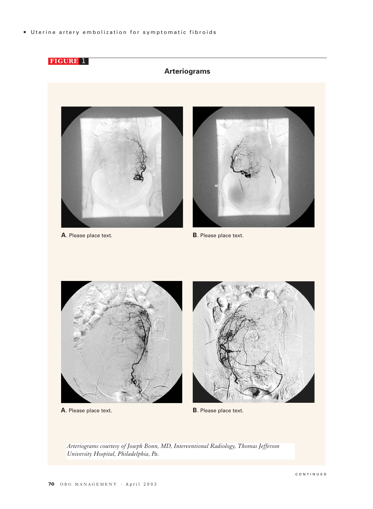Uterine artery embolization for symptomatic fibroids



**A**. Please place text.

**B**. Please place text.

*Arteriograms courtesy of Joseph Bonn, MD, Interventional Radiology, Thomas Jefferson University Hospital, Philadelphia, Pa.*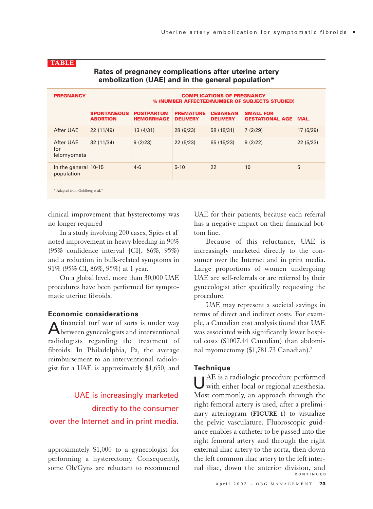| <b>PREGNANCY</b>                             | <b>COMPLICATIONS OF PREGNANCY</b><br>% (NUMBER AFFECTED/NUMBER OF SUBJECTS STUDIED) |                                        |                                     |                                    |                                            |          |
|----------------------------------------------|-------------------------------------------------------------------------------------|----------------------------------------|-------------------------------------|------------------------------------|--------------------------------------------|----------|
|                                              | <b>SPONTANEOUS</b><br><b>ABORTION</b>                                               | <b>POSTPARTUM</b><br><b>HEMORRHAGE</b> | <b>PREMATURE</b><br><b>DELIVERY</b> | <b>CESAREAN</b><br><b>DELIVERY</b> | <b>SMALL FOR</b><br><b>GESTATIONAL AGE</b> | MAL.     |
| After UAE                                    | 22 (11/49)                                                                          | 13(4/31)                               | 28 (9/23)                           | 58 (18/31)                         | 7(2/29)                                    | 17(5/29) |
| After UAE<br>for<br>leiomyomata              | 32(11/34)                                                                           | 9(2/23)                                | 22(5/23)                            | 65 (15/23)                         | 9(2/22)                                    | 22(5/23) |
| In the general $10-15$<br>population         |                                                                                     | $4 - 6$                                | $5 - 10$                            | 22                                 | 10                                         | 5        |
| * Adapted from Goldberg et al. <sup>22</sup> |                                                                                     |                                        |                                     |                                    |                                            |          |

# **Rates of pregnancy complications after uterine artery embolization (UAE) and in the general population\***

clinical improvement that hysterectomy was no longer required

**TABLE**

In a study involving 200 cases, Spies et al<sup>6</sup> noted improvement in heavy bleeding in 90% (95% confidence interval [CI], 86%, 95%) and a reduction in bulk-related symptoms in 91% (95% CI, 86%, 95%) at 1 year.

On a global level, more than 30,000 UAE procedures have been performed for symptomatic uterine fibroids.

# **Economic considerations**

Afinancial turf war of sorts is under way between gynecologists and interventional radiologists regarding the treatment of fibroids. In Philadelphia, Pa, the average reimbursement to an interventional radiologist for a UAE is approximately \$1,650, and

# UAE is increasingly marketed directly to the consumer over the Internet and in print media.

approximately \$1,000 to a gynecologist for performing a hysterectomy. Consequently, some Ob/Gyns are reluctant to recommend UAE for their patients, because each referral has a negative impact on their financial bottom line.

Because of this reluctance, UAE is increasingly marketed directly to the consumer over the Internet and in print media. Large proportions of women undergoing UAE are self-referrals or are referred by their gynecologist after specifically requesting the procedure.

UAE may represent a societal savings in terms of direct and indirect costs. For example, a Canadian cost analysis found that UAE was associated with significantly lower hospital costs (\$1007.44 Canadian) than abdominal myomectomy (\$1,781.73 Canadian).7

# **Technique**

UAE is a radiologic procedure performed with either local or regional anesthesia. Most commonly, an approach through the right femoral artery is used, after a preliminary arteriogram (**FIGURE 1**) to visualize the pelvic vasculature. Fluoroscopic guidance enables a catheter to be passed into the right femoral artery and through the right external iliac artery to the aorta, then down the left common iliac artery to the left internal iliac, down the anterior division, and **CONTINUED**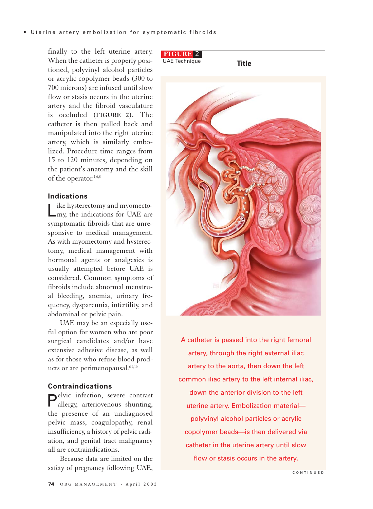finally to the left uterine artery. When the catheter is properly positioned, polyvinyl alcohol particles or acrylic copolymer beads (300 to 700 microns) are infused until slow flow or stasis occurs in the uterine artery and the fibroid vasculature is occluded (**FIGURE 2**). The catheter is then pulled back and manipulated into the right uterine artery, which is similarly embolized. Procedure time ranges from 15 to 120 minutes, depending on the patient's anatomy and the skill of the operator.<sup>1,6,8</sup>

# **Indications**

Like hysterectomy and myomecto-my, the indications for UAE are symptomatic fibroids that are unresponsive to medical management. As with myomectomy and hysterectomy, medical management with hormonal agents or analgesics is usually attempted before UAE is considered. Common symptoms of fibroids include abnormal menstrual bleeding, anemia, urinary frequency, dyspareunia, infertility, and abdominal or pelvic pain.

UAE may be an especially useful option for women who are poor surgical candidates and/or have extensive adhesive disease, as well as for those who refuse blood products or are perimenopausal.<sup>6,9,10</sup>

#### **Contraindications**

Pelvic infection, severe contrast allergy, arteriovenous shunting, the presence of an undiagnosed pelvic mass, coagulopathy, renal insufficiency, a history of pelvic radiation, and genital tract malignancy all are contraindications.

Because data are limited on the safety of pregnancy following UAE,



A catheter is passed into the right femoral artery, through the right external iliac artery to the aorta, then down the left common iliac artery to the left internal iliac, down the anterior division to the left uterine artery. Embolization material polyvinyl alcohol particles or acrylic copolymer beads—is then delivered via catheter in the uterine artery until slow flow or stasis occurs in the artery.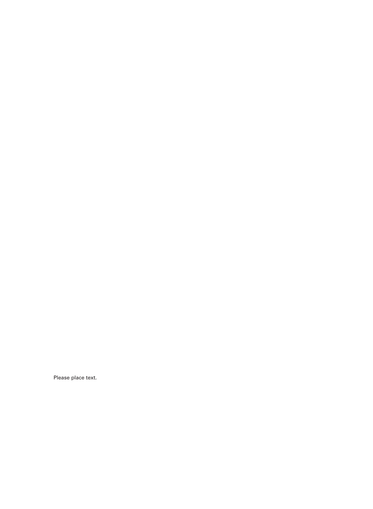Please place text.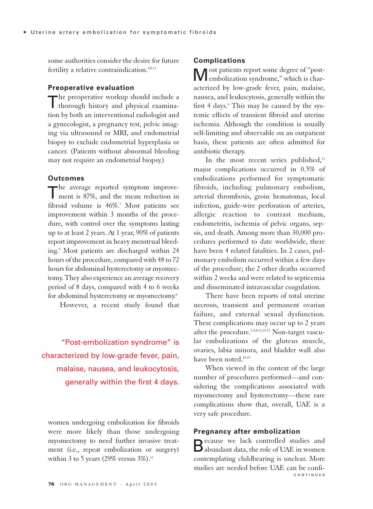some authorities consider the desire for future fertility a relative contraindication.<sup>4,8,11</sup>

#### **Preoperative evaluation**

The preoperative workup should include a<br>thorough history and physical examination by both an interventional radiologist and a gynecologist, a pregnancy test, pelvic imaging via ultrasound or MRI, and endometrial biopsy to exclude endometrial hyperplasia or cancer. (Patients without abnormal bleeding may not require an endometrial biopsy.)

#### **Outcomes**

The average reported symptom improvement is 87%, and the mean reduction in fibroid volume is 46%.<sup>1</sup> Most patients see improvement within 3 months of the procedure, with control over the symptoms lasting up to at least 2 years. At 1 year, 90% of patients report improvement in heavy menstrual bleeding.4 Most patients are discharged within 24 hours of the procedure, compared with 48 to 72 hours for abdominal hysterectomy or myomectomy. They also experience an average recovery period of 8 days, compared with 4 to 6 weeks for abdominal hysterectomy or myomectomy.<sup>6</sup>

However, a recent study found that

"Post-embolization syndrome" is characterized by low-grade fever, pain, malaise, nausea, and leukocytosis, generally within the first 4 days.

women undergoing embolization for fibroids were more likely than those undergoing myomectomy to need further invasive treatment (i.e., repeat embolization or surgery) within 3 to 5 years (29% versus  $3\%$ ).<sup>12</sup>

#### **Complications**

Most patients report some degree of "post-embolization syndrome," which is characterized by low-grade fever, pain, malaise, nausea, and leukocytosis, generally within the first  $4$  days.<sup>4</sup> This may be caused by the systemic effects of transient fibroid and uterine ischemia. Although the condition is usually self-limiting and observable on an outpatient basis, these patients are often admitted for antibiotic therapy.

In the most recent series published,<sup>13</sup> major complications occurred in 0.5% of embolizations performed for symptomatic fibroids, including pulmonary embolism, arterial thrombosis, groin hematomas, local infection, guide-wire perforation of arteries, allergic reaction to contrast medium, endometritis, ischemia of pelvic organs, sepsis, and death. Among more than 30,000 procedures performed to date worldwide, there have been 4 related fatalities. In 2 cases, pulmonary embolism occurred within a few days of the procedure; the 2 other deaths occurred within 2 weeks and were related to septicemia and disseminated intravascular coagulation.

There have been reports of total uterine necrosis, transient and permanent ovarian failure, and external sexual dysfunction. These complications may occur up to 2 years after the procedure.<sup>1,4,8,11,14-17</sup> Non-target vascular embolizations of the gluteus muscle, ovaries, labia minora, and bladder wall also have been noted.<sup>18,19</sup>

When viewed in the context of the large number of procedures performed—and considering the complications associated with myomectomy and hysterectomy—these rare complications show that, overall, UAE is a very safe procedure.

### **Pregnancy after embolization**

Because we lack controlled studies and abundant data, the role of UAE in women contemplating childbearing is unclear. More studies are needed before UAE can be confi-**CONTINUED**